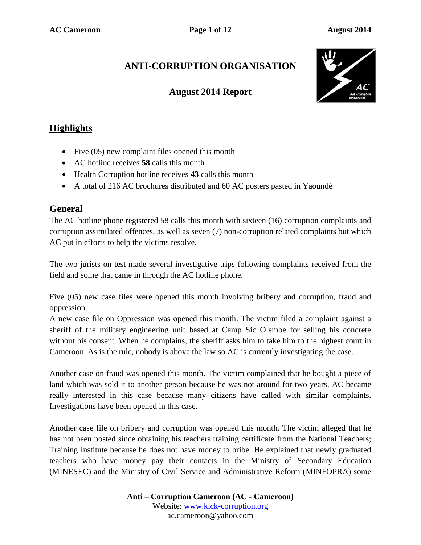# **ANTI-CORRUPTION ORGANISATION**

## **August 2014 Report**



## **Highlights**

- Five  $(05)$  new complaint files opened this month
- AC hotline receives **58** calls this month
- Health Corruption hotline receives **43** calls this month
- A total of 216 AC brochures distributed and 60 AC posters pasted in Yaoundé

## **General**

The AC hotline phone registered 58 calls this month with sixteen (16) corruption complaints and corruption assimilated offences, as well as seven (7) non-corruption related complaints but which AC put in efforts to help the victims resolve.

The two jurists on test made several investigative trips following complaints received from the field and some that came in through the AC hotline phone.

Five (05) new case files were opened this month involving bribery and corruption, fraud and oppression.

A new case file on Oppression was opened this month. The victim filed a complaint against a sheriff of the military engineering unit based at Camp Sic Olembe for selling his concrete without his consent. When he complains, the sheriff asks him to take him to the highest court in Cameroon. As is the rule, nobody is above the law so AC is currently investigating the case.

Another case on fraud was opened this month. The victim complained that he bought a piece of land which was sold it to another person because he was not around for two years. AC became really interested in this case because many citizens have called with similar complaints. Investigations have been opened in this case.

Another case file on bribery and corruption was opened this month. The victim alleged that he has not been posted since obtaining his teachers training certificate from the National Teachers; Training Institute because he does not have money to bribe. He explained that newly graduated teachers who have money pay their contacts in the Ministry of Secondary Education (MINESEC) and the Ministry of Civil Service and Administrative Reform (MINFOPRA) some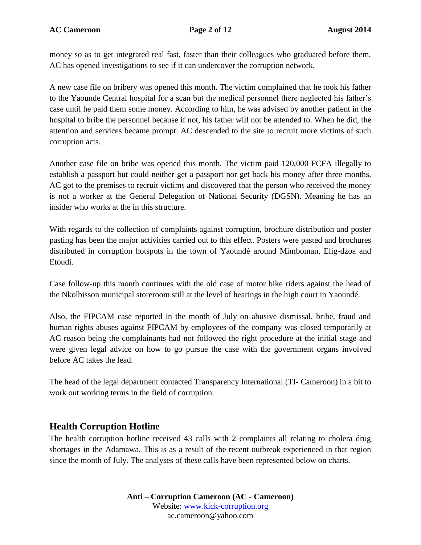**AC Cameroon Page 2 of 12 August 2014**

money so as to get integrated real fast, faster than their colleagues who graduated before them. AC has opened investigations to see if it can undercover the corruption network.

A new case file on bribery was opened this month. The victim complained that he took his father to the Yaounde Central hospital for a scan but the medical personnel there neglected his father's case until he paid them some money. According to him, he was advised by another patient in the hospital to bribe the personnel because if not, his father will not be attended to. When he did, the attention and services became prompt. AC descended to the site to recruit more victims of such corruption acts.

Another case file on bribe was opened this month. The victim paid 120,000 FCFA illegally to establish a passport but could neither get a passport nor get back his money after three months. AC got to the premises to recruit victims and discovered that the person who received the money is not a worker at the General Delegation of National Security (DGSN). Meaning he has an insider who works at the in this structure.

With regards to the collection of complaints against corruption, brochure distribution and poster pasting has been the major activities carried out to this effect. Posters were pasted and brochures distributed in corruption hotspots in the town of Yaoundé around Mimboman, Elig-dzoa and Etoudi.

Case follow-up this month continues with the old case of motor bike riders against the head of the Nkolbisson municipal storeroom still at the level of hearings in the high court in Yaoundé.

Also, the FIPCAM case reported in the month of July on abusive dismissal, bribe, fraud and human rights abuses against FIPCAM by employees of the company was closed temporarily at AC reason being the complainants had not followed the right procedure at the initial stage and were given legal advice on how to go pursue the case with the government organs involved before AC takes the lead.

The head of the legal department contacted Transparency International (TI- Cameroon) in a bit to work out working terms in the field of corruption.

### **Health Corruption Hotline**

The health corruption hotline received 43 calls with 2 complaints all relating to cholera drug shortages in the Adamawa. This is as a result of the recent outbreak experienced in that region since the month of July. The analyses of these calls have been represented below on charts.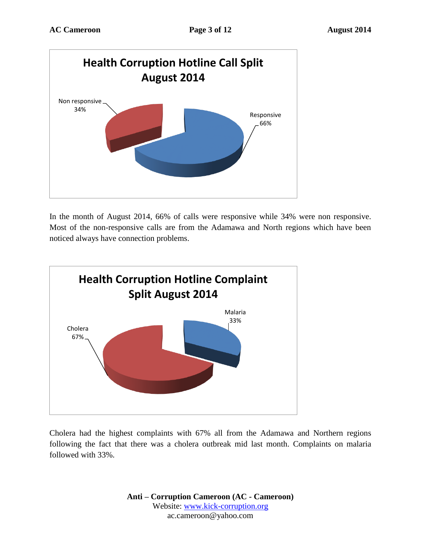

In the month of August 2014, 66% of calls were responsive while 34% were non responsive. Most of the non-responsive calls are from the Adamawa and North regions which have been noticed always have connection problems.



Cholera had the highest complaints with 67% all from the Adamawa and Northern regions following the fact that there was a cholera outbreak mid last month. Complaints on malaria followed with 33%.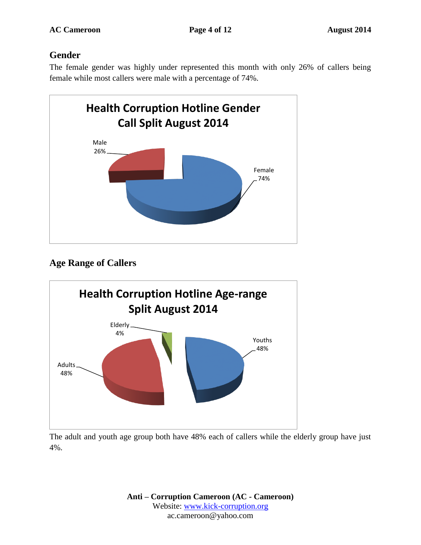## **Gender**

The female gender was highly under represented this month with only 26% of callers being female while most callers were male with a percentage of 74%.



# **Age Range of Callers**



The adult and youth age group both have 48% each of callers while the elderly group have just 4%.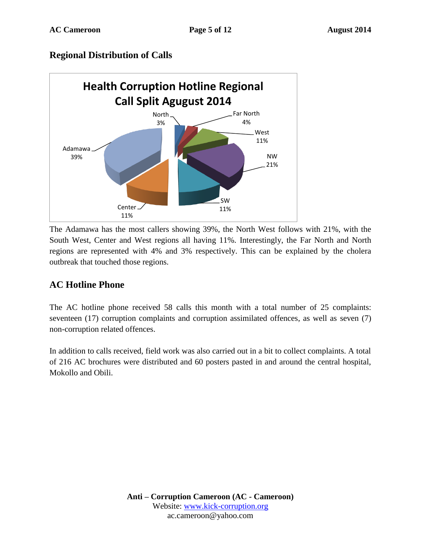### **Regional Distribution of Calls**



The Adamawa has the most callers showing 39%, the North West follows with 21%, with the South West, Center and West regions all having 11%. Interestingly, the Far North and North regions are represented with 4% and 3% respectively. This can be explained by the cholera outbreak that touched those regions.

# **AC Hotline Phone**

The AC hotline phone received 58 calls this month with a total number of 25 complaints: seventeen (17) corruption complaints and corruption assimilated offences, as well as seven (7) non-corruption related offences.

In addition to calls received, field work was also carried out in a bit to collect complaints. A total of 216 AC brochures were distributed and 60 posters pasted in and around the central hospital, Mokollo and Obili.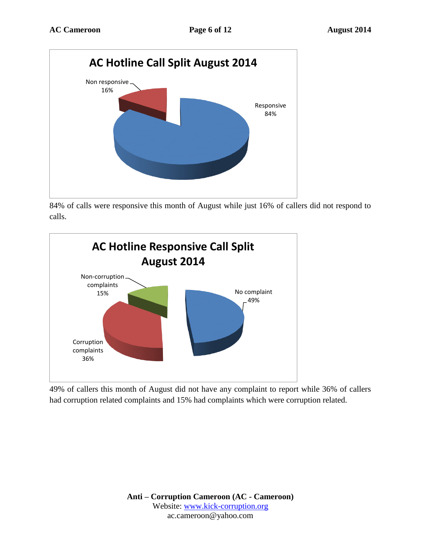

84% of calls were responsive this month of August while just 16% of callers did not respond to calls.



49% of callers this month of August did not have any complaint to report while 36% of callers had corruption related complaints and 15% had complaints which were corruption related.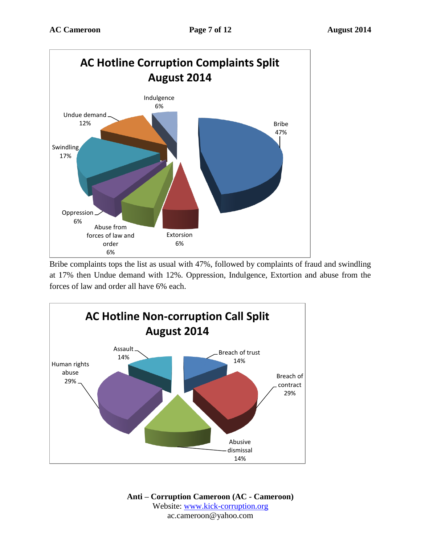

Bribe complaints tops the list as usual with 47%, followed by complaints of fraud and swindling at 17% then Undue demand with 12%. Oppression, Indulgence, Extortion and abuse from the forces of law and order all have 6% each.

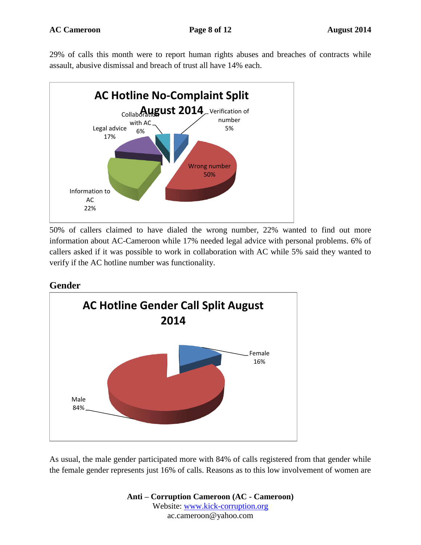29% of calls this month were to report human rights abuses and breaches of contracts while assault, abusive dismissal and breach of trust all have 14% each.



50% of callers claimed to have dialed the wrong number, 22% wanted to find out more information about AC-Cameroon while 17% needed legal advice with personal problems. 6% of callers asked if it was possible to work in collaboration with AC while 5% said they wanted to verify if the AC hotline number was functionality.

### **Gender**



As usual, the male gender participated more with 84% of calls registered from that gender while the female gender represents just 16% of calls. Reasons as to this low involvement of women are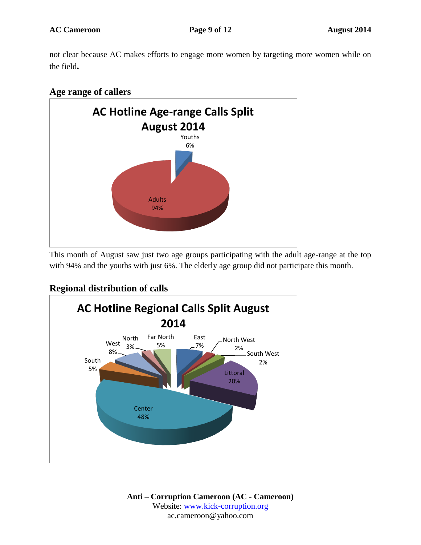not clear because AC makes efforts to engage more women by targeting more women while on the field**.**

### **Age range of callers**



This month of August saw just two age groups participating with the adult age-range at the top with 94% and the youths with just 6%. The elderly age group did not participate this month.

## **Regional distribution of calls**

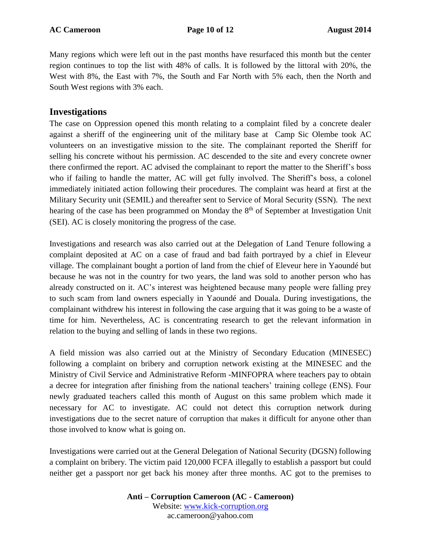Many regions which were left out in the past months have resurfaced this month but the center region continues to top the list with 48% of calls. It is followed by the littoral with 20%, the West with 8%, the East with 7%, the South and Far North with 5% each, then the North and South West regions with 3% each.

#### **Investigations**

The case on Oppression opened this month relating to a complaint filed by a concrete dealer against a sheriff of the engineering unit of the military base at Camp Sic Olembe took AC volunteers on an investigative mission to the site. The complainant reported the Sheriff for selling his concrete without his permission. AC descended to the site and every concrete owner there confirmed the report. AC advised the complainant to report the matter to the Sheriff's boss who if failing to handle the matter, AC will get fully involved. The Sheriff's boss, a colonel immediately initiated action following their procedures. The complaint was heard at first at the Military Security unit (SEMIL) and thereafter sent to Service of Moral Security (SSN). The next hearing of the case has been programmed on Monday the 8<sup>th</sup> of September at Investigation Unit (SEI). AC is closely monitoring the progress of the case.

Investigations and research was also carried out at the Delegation of Land Tenure following a complaint deposited at AC on a case of fraud and bad faith portrayed by a chief in Eleveur village. The complainant bought a portion of land from the chief of Eleveur here in Yaoundé but because he was not in the country for two years, the land was sold to another person who has already constructed on it. AC's interest was heightened because many people were falling prey to such scam from land owners especially in Yaoundé and Douala. During investigations, the complainant withdrew his interest in following the case arguing that it was going to be a waste of time for him. Nevertheless, AC is concentrating research to get the relevant information in relation to the buying and selling of lands in these two regions.

A field mission was also carried out at the Ministry of Secondary Education (MINESEC) following a complaint on bribery and corruption network existing at the MINESEC and the Ministry of Civil Service and Administrative Reform -MINFOPRA where teachers pay to obtain a decree for integration after finishing from the national teachers' training college (ENS). Four newly graduated teachers called this month of August on this same problem which made it necessary for AC to investigate. AC could not detect this corruption network during investigations due to the secret nature of corruption that makes it difficult for anyone other than those involved to know what is going on.

Investigations were carried out at the General Delegation of National Security (DGSN) following a complaint on bribery. The victim paid 120,000 FCFA illegally to establish a passport but could neither get a passport nor get back his money after three months. AC got to the premises to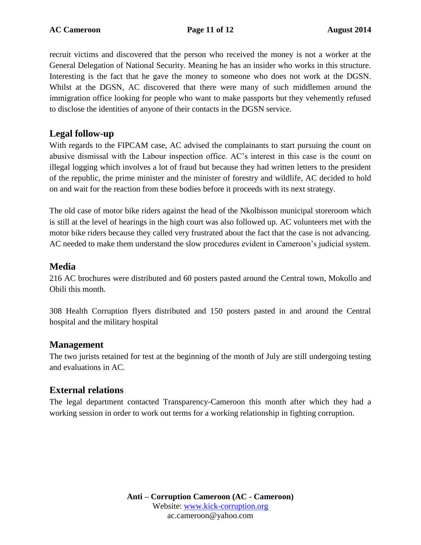recruit victims and discovered that the person who received the money is not a worker at the General Delegation of National Security. Meaning he has an insider who works in this structure. Interesting is the fact that he gave the money to someone who does not work at the DGSN. Whilst at the DGSN, AC discovered that there were many of such middlemen around the immigration office looking for people who want to make passports but they vehemently refused to disclose the identities of anyone of their contacts in the DGSN service.

### **Legal follow-up**

With regards to the FIPCAM case, AC advised the complainants to start pursuing the count on abusive dismissal with the Labour inspection office. AC's interest in this case is the count on illegal logging which involves a lot of fraud but because they had written letters to the president of the republic, the prime minister and the minister of forestry and wildlife, AC decided to hold on and wait for the reaction from these bodies before it proceeds with its next strategy.

The old case of motor bike riders against the head of the Nkolbisson municipal storeroom which is still at the level of hearings in the high court was also followed up. AC volunteers met with the motor bike riders because they called very frustrated about the fact that the case is not advancing. AC needed to make them understand the slow procedures evident in Cameroon's judicial system.

### **Media**

216 AC brochures were distributed and 60 posters pasted around the Central town, Mokollo and Obili this month.

308 Health Corruption flyers distributed and 150 posters pasted in and around the Central hospital and the military hospital

#### **Management**

The two jurists retained for test at the beginning of the month of July are still undergoing testing and evaluations in AC.

### **External relations**

The legal department contacted Transparency-Cameroon this month after which they had a working session in order to work out terms for a working relationship in fighting corruption.